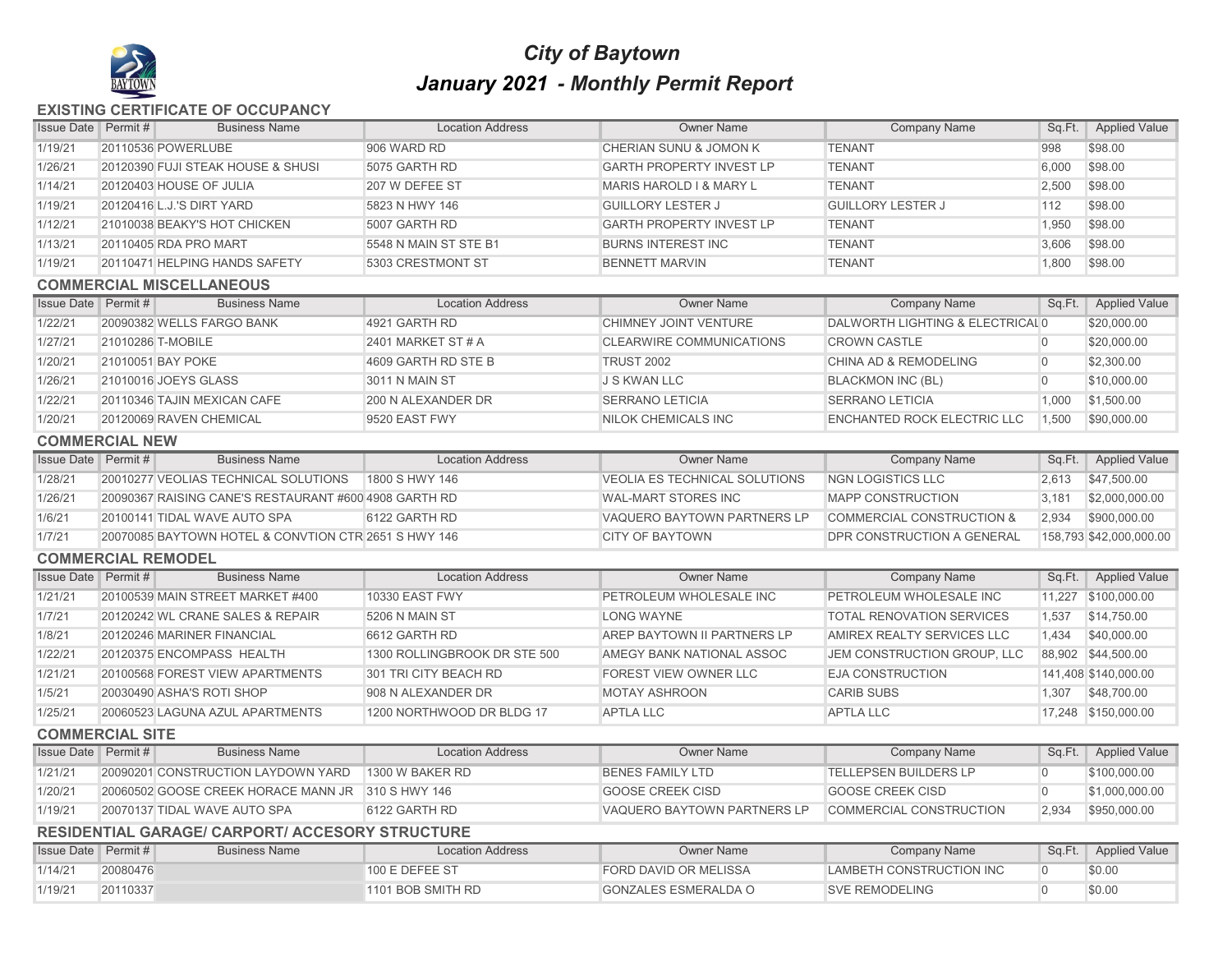

## *City of Baytown January 2021 - Monthly Permit Report*

## **EXISTING CERTIFICATE OF OCCUPANCY**

| 1/19/21<br>20110536 POWERLUBE<br>906 WARD RD<br>CHERIAN SUNU & JOMON K<br><b>TENANT</b><br>998<br>\$98.00<br>1/26/21<br>\$98.00<br>20120390 FUJI STEAK HOUSE & SHUSI<br>5075 GARTH RD<br><b>GARTH PROPERTY INVEST LP</b><br><b>TENANT</b><br>6,000<br>1/14/21<br>2,500<br>\$98.00<br>20120403 HOUSE OF JULIA<br>207 W DEFEE ST<br><b>MARIS HAROLD I &amp; MARY L</b><br><b>TENANT</b><br>1/19/21<br><b>GUILLORY LESTER J</b><br><b>GUILLORY LESTER J</b><br>112<br>\$98.00<br>20120416 L.J.'S DIRT YARD<br>5823 N HWY 146<br>\$98.00<br>1/12/21<br>21010038 BEAKY'S HOT CHICKEN<br><b>GARTH PROPERTY INVEST LP</b><br><b>TENANT</b><br>1,950<br>5007 GARTH RD<br>\$98.00<br>1/13/21<br>20110405 RDA PRO MART<br>5548 N MAIN ST STE B1<br><b>BURNS INTEREST INC</b><br><b>TENANT</b><br>3,606<br>1/19/21<br>20110471 HELPING HANDS SAFETY<br>5303 CRESTMONT ST<br><b>BENNETT MARVIN</b><br><b>TENANT</b><br>1,800<br>\$98.00<br><b>COMMERCIAL MISCELLANEOUS</b><br><b>Company Name</b><br><b>Applied Value</b><br><b>Issue Date</b> Permit#<br><b>Business Name</b><br><b>Location Address</b><br><b>Owner Name</b><br>Sq.Ft.<br>DALWORTH LIGHTING & ELECTRICAL 0<br>\$20,000.00<br>1/22/21<br>20090382 WELLS FARGO BANK<br>4921 GARTH RD<br>CHIMNEY JOINT VENTURE<br>1/27/21<br>21010286 T-MOBILE<br><b>CLEARWIRE COMMUNICATIONS</b><br><b>CROWN CASTLE</b><br>\$20,000.00<br>2401 MARKET ST # A<br>$\overline{0}$<br>1/20/21<br>21010051 BAY POKE<br>4609 GARTH RD STE B<br><b>TRUST 2002</b><br>CHINA AD & REMODELING<br>$\overline{0}$<br>\$2,300.00<br>1/26/21<br>21010016 JOEYS GLASS<br>3011 N MAIN ST<br><b>J S KWAN LLC</b><br><b>BLACKMON INC (BL)</b><br>$\overline{0}$<br>\$10,000.00<br>1/22/21<br>200 N ALEXANDER DR<br><b>SERRANO LETICIA</b><br><b>SERRANO LETICIA</b><br>\$1,500.00<br>20110346 TAJIN MEXICAN CAFE<br>1,000<br>1/20/21<br>20120069 RAVEN CHEMICAL<br>9520 EAST FWY<br>NILOK CHEMICALS INC<br><b>ENCHANTED ROCK ELECTRIC LLC</b><br>1,500<br>\$90,000.00<br><b>COMMERCIAL NEW</b><br><b>Business Name</b><br><b>Location Address</b><br><b>Issue Date</b> Permit #<br><b>Owner Name</b><br><b>Company Name</b><br>Sq.Ft.<br><b>Applied Value</b><br>1/28/21<br>20010277 VEOLIAS TECHNICAL SOLUTIONS<br>\$47,500.00<br>1800 S HWY 146<br><b>VEOLIA ES TECHNICAL SOLUTIONS</b><br><b>NGN LOGISTICS LLC</b><br>2,613<br>1/26/21<br>20090367 RAISING CANE'S RESTAURANT #600 4908 GARTH RD<br><b>WAL-MART STORES INC</b><br><b>MAPP CONSTRUCTION</b><br>3,181<br>\$2,000,000.00<br>VAQUERO BAYTOWN PARTNERS LP<br>\$900,000.00<br>1/6/21<br>20100141 TIDAL WAVE AUTO SPA<br>6122 GARTH RD<br><b>COMMERCIAL CONSTRUCTION &amp;</b><br>2,934<br>1/7/21<br>20070085 BAYTOWN HOTEL & CONVTION CTR 2651 S HWY 146<br><b>CITY OF BAYTOWN</b><br>DPR CONSTRUCTION A GENERAL<br>158,793 \$42,000,000.00<br><b>COMMERCIAL REMODEL</b><br><b>Issue Date</b> Permit #<br><b>Business Name</b><br><b>Owner Name</b><br><b>Applied Value</b><br><b>Location Address</b><br><b>Company Name</b><br>Sq.Ft.<br>1/21/21<br>PETROLEUM WHOLESALE INC<br>11,227 \$100,000.00<br>20100539 MAIN STREET MARKET #400<br><b>10330 EAST FWY</b><br>PETROLEUM WHOLESALE INC<br>1/7/21<br>20120242 WL CRANE SALES & REPAIR<br><b>LONG WAYNE</b><br><b>TOTAL RENOVATION SERVICES</b><br>1,537<br>\$14,750.00<br>5206 N MAIN ST<br>1/8/21<br>AREP BAYTOWN II PARTNERS LP<br>AMIREX REALTY SERVICES LLC<br>\$40,000.00<br>20120246 MARINER FINANCIAL<br>6612 GARTH RD<br>1,434<br>1/22/21<br>20120375 ENCOMPASS HEALTH<br>1300 ROLLINGBROOK DR STE 500<br>AMEGY BANK NATIONAL ASSOC<br>JEM CONSTRUCTION GROUP, LLC<br>88,902 \$44,500.00<br>1/21/21<br>FOREST VIEW OWNER LLC<br><b>EJA CONSTRUCTION</b><br>20100568 FOREST VIEW APARTMENTS<br>301 TRI CITY BEACH RD<br>141,408 \$140,000.00<br>1/5/21<br>20030490 ASHA'S ROTI SHOP<br>908 N ALEXANDER DR<br><b>MOTAY ASHROON</b><br><b>CARIB SUBS</b><br>\$48,700.00<br>1,307<br>1/25/21<br>20060523 LAGUNA AZUL APARTMENTS<br>1200 NORTHWOOD DR BLDG 17<br><b>APTLA LLC</b><br><b>APTLA LLC</b><br>17,248 \$150,000.00<br><b>COMMERCIAL SITE</b><br><b>Business Name</b><br><b>Issue Date</b> Permit #<br><b>Location Address</b><br><b>Owner Name</b><br><b>Company Name</b><br><b>Applied Value</b><br>Sq.Ft.<br><b>TELLEPSEN BUILDERS LP</b><br>1/21/21<br>20090201 CONSTRUCTION LAYDOWN YARD<br>1300 W BAKER RD<br><b>BENES FAMILY LTD</b><br>\$100,000.00<br>$\overline{0}$<br>1/20/21<br><b>GOOSE CREEK CISD</b><br><b>GOOSE CREEK CISD</b><br>$\overline{0}$<br>20060502 GOOSE CREEK HORACE MANN JR 310 S HWY 146<br>\$1,000,000.00<br>1/19/21<br>20070137 TIDAL WAVE AUTO SPA<br>6122 GARTH RD<br>VAQUERO BAYTOWN PARTNERS LP<br>2,934<br>\$950,000.00<br>COMMERCIAL CONSTRUCTION<br><b>RESIDENTIAL GARAGE/ CARPORT/ ACCESORY STRUCTURE</b><br><b>Issue Date Permit#</b><br><b>Business Name</b><br><b>Owner Name</b><br><b>Company Name</b><br><b>Applied Value</b><br><b>Location Address</b><br>Sq.Ft.<br>1/14/21<br>20080476<br>100 E DEFEE ST<br>FORD DAVID OR MELISSA<br>LAMBETH CONSTRUCTION INC<br>\$0.00<br>$\overline{0}$<br>1/19/21<br>$\overline{0}$<br>\$0.00<br>20110337<br>1101 BOB SMITH RD<br><b>GONZALES ESMERALDA O</b><br><b>SVE REMODELING</b> | <b>Issue Date</b> Permit # |  | <b>Business Name</b> | <b>Location Address</b> | <b>Owner Name</b> | <b>Company Name</b> | Sq.Ft. | <b>Applied Value</b> |  |  |
|-------------------------------------------------------------------------------------------------------------------------------------------------------------------------------------------------------------------------------------------------------------------------------------------------------------------------------------------------------------------------------------------------------------------------------------------------------------------------------------------------------------------------------------------------------------------------------------------------------------------------------------------------------------------------------------------------------------------------------------------------------------------------------------------------------------------------------------------------------------------------------------------------------------------------------------------------------------------------------------------------------------------------------------------------------------------------------------------------------------------------------------------------------------------------------------------------------------------------------------------------------------------------------------------------------------------------------------------------------------------------------------------------------------------------------------------------------------------------------------------------------------------------------------------------------------------------------------------------------------------------------------------------------------------------------------------------------------------------------------------------------------------------------------------------------------------------------------------------------------------------------------------------------------------------------------------------------------------------------------------------------------------------------------------------------------------------------------------------------------------------------------------------------------------------------------------------------------------------------------------------------------------------------------------------------------------------------------------------------------------------------------------------------------------------------------------------------------------------------------------------------------------------------------------------------------------------------------------------------------------------------------------------------------------------------------------------------------------------------------------------------------------------------------------------------------------------------------------------------------------------------------------------------------------------------------------------------------------------------------------------------------------------------------------------------------------------------------------------------------------------------------------------------------------------------------------------------------------------------------------------------------------------------------------------------------------------------------------------------------------------------------------------------------------------------------------------------------------------------------------------------------------------------------------------------------------------------------------------------------------------------------------------------------------------------------------------------------------------------------------------------------------------------------------------------------------------------------------------------------------------------------------------------------------------------------------------------------------------------------------------------------------------------------------------------------------------------------------------------------------------------------------------------------------------------------------------------------------------------------------------------------------------------------------------------------------------------------------------------------------------------------------------------------------------------------------------------------------------------------------------------------------------------------------------------------------------------------------------------------------------------------------------------------------------------------------------------------------------------------------------------------------------------------------------------------------------------------------------------------------------------------------------------------------------------------------------------------------------------------------------------------------------------------------------------------------------------------------------------------------------------------------------------------------------------------------------------------------------|----------------------------|--|----------------------|-------------------------|-------------------|---------------------|--------|----------------------|--|--|
|                                                                                                                                                                                                                                                                                                                                                                                                                                                                                                                                                                                                                                                                                                                                                                                                                                                                                                                                                                                                                                                                                                                                                                                                                                                                                                                                                                                                                                                                                                                                                                                                                                                                                                                                                                                                                                                                                                                                                                                                                                                                                                                                                                                                                                                                                                                                                                                                                                                                                                                                                                                                                                                                                                                                                                                                                                                                                                                                                                                                                                                                                                                                                                                                                                                                                                                                                                                                                                                                                                                                                                                                                                                                                                                                                                                                                                                                                                                                                                                                                                                                                                                                                                                                                                                                                                                                                                                                                                                                                                                                                                                                                                                                                                                                                                                                                                                                                                                                                                                                                                                                                                                                                                                                                         |                            |  |                      |                         |                   |                     |        |                      |  |  |
|                                                                                                                                                                                                                                                                                                                                                                                                                                                                                                                                                                                                                                                                                                                                                                                                                                                                                                                                                                                                                                                                                                                                                                                                                                                                                                                                                                                                                                                                                                                                                                                                                                                                                                                                                                                                                                                                                                                                                                                                                                                                                                                                                                                                                                                                                                                                                                                                                                                                                                                                                                                                                                                                                                                                                                                                                                                                                                                                                                                                                                                                                                                                                                                                                                                                                                                                                                                                                                                                                                                                                                                                                                                                                                                                                                                                                                                                                                                                                                                                                                                                                                                                                                                                                                                                                                                                                                                                                                                                                                                                                                                                                                                                                                                                                                                                                                                                                                                                                                                                                                                                                                                                                                                                                         |                            |  |                      |                         |                   |                     |        |                      |  |  |
|                                                                                                                                                                                                                                                                                                                                                                                                                                                                                                                                                                                                                                                                                                                                                                                                                                                                                                                                                                                                                                                                                                                                                                                                                                                                                                                                                                                                                                                                                                                                                                                                                                                                                                                                                                                                                                                                                                                                                                                                                                                                                                                                                                                                                                                                                                                                                                                                                                                                                                                                                                                                                                                                                                                                                                                                                                                                                                                                                                                                                                                                                                                                                                                                                                                                                                                                                                                                                                                                                                                                                                                                                                                                                                                                                                                                                                                                                                                                                                                                                                                                                                                                                                                                                                                                                                                                                                                                                                                                                                                                                                                                                                                                                                                                                                                                                                                                                                                                                                                                                                                                                                                                                                                                                         |                            |  |                      |                         |                   |                     |        |                      |  |  |
|                                                                                                                                                                                                                                                                                                                                                                                                                                                                                                                                                                                                                                                                                                                                                                                                                                                                                                                                                                                                                                                                                                                                                                                                                                                                                                                                                                                                                                                                                                                                                                                                                                                                                                                                                                                                                                                                                                                                                                                                                                                                                                                                                                                                                                                                                                                                                                                                                                                                                                                                                                                                                                                                                                                                                                                                                                                                                                                                                                                                                                                                                                                                                                                                                                                                                                                                                                                                                                                                                                                                                                                                                                                                                                                                                                                                                                                                                                                                                                                                                                                                                                                                                                                                                                                                                                                                                                                                                                                                                                                                                                                                                                                                                                                                                                                                                                                                                                                                                                                                                                                                                                                                                                                                                         |                            |  |                      |                         |                   |                     |        |                      |  |  |
|                                                                                                                                                                                                                                                                                                                                                                                                                                                                                                                                                                                                                                                                                                                                                                                                                                                                                                                                                                                                                                                                                                                                                                                                                                                                                                                                                                                                                                                                                                                                                                                                                                                                                                                                                                                                                                                                                                                                                                                                                                                                                                                                                                                                                                                                                                                                                                                                                                                                                                                                                                                                                                                                                                                                                                                                                                                                                                                                                                                                                                                                                                                                                                                                                                                                                                                                                                                                                                                                                                                                                                                                                                                                                                                                                                                                                                                                                                                                                                                                                                                                                                                                                                                                                                                                                                                                                                                                                                                                                                                                                                                                                                                                                                                                                                                                                                                                                                                                                                                                                                                                                                                                                                                                                         |                            |  |                      |                         |                   |                     |        |                      |  |  |
|                                                                                                                                                                                                                                                                                                                                                                                                                                                                                                                                                                                                                                                                                                                                                                                                                                                                                                                                                                                                                                                                                                                                                                                                                                                                                                                                                                                                                                                                                                                                                                                                                                                                                                                                                                                                                                                                                                                                                                                                                                                                                                                                                                                                                                                                                                                                                                                                                                                                                                                                                                                                                                                                                                                                                                                                                                                                                                                                                                                                                                                                                                                                                                                                                                                                                                                                                                                                                                                                                                                                                                                                                                                                                                                                                                                                                                                                                                                                                                                                                                                                                                                                                                                                                                                                                                                                                                                                                                                                                                                                                                                                                                                                                                                                                                                                                                                                                                                                                                                                                                                                                                                                                                                                                         |                            |  |                      |                         |                   |                     |        |                      |  |  |
|                                                                                                                                                                                                                                                                                                                                                                                                                                                                                                                                                                                                                                                                                                                                                                                                                                                                                                                                                                                                                                                                                                                                                                                                                                                                                                                                                                                                                                                                                                                                                                                                                                                                                                                                                                                                                                                                                                                                                                                                                                                                                                                                                                                                                                                                                                                                                                                                                                                                                                                                                                                                                                                                                                                                                                                                                                                                                                                                                                                                                                                                                                                                                                                                                                                                                                                                                                                                                                                                                                                                                                                                                                                                                                                                                                                                                                                                                                                                                                                                                                                                                                                                                                                                                                                                                                                                                                                                                                                                                                                                                                                                                                                                                                                                                                                                                                                                                                                                                                                                                                                                                                                                                                                                                         |                            |  |                      |                         |                   |                     |        |                      |  |  |
|                                                                                                                                                                                                                                                                                                                                                                                                                                                                                                                                                                                                                                                                                                                                                                                                                                                                                                                                                                                                                                                                                                                                                                                                                                                                                                                                                                                                                                                                                                                                                                                                                                                                                                                                                                                                                                                                                                                                                                                                                                                                                                                                                                                                                                                                                                                                                                                                                                                                                                                                                                                                                                                                                                                                                                                                                                                                                                                                                                                                                                                                                                                                                                                                                                                                                                                                                                                                                                                                                                                                                                                                                                                                                                                                                                                                                                                                                                                                                                                                                                                                                                                                                                                                                                                                                                                                                                                                                                                                                                                                                                                                                                                                                                                                                                                                                                                                                                                                                                                                                                                                                                                                                                                                                         |                            |  |                      |                         |                   |                     |        |                      |  |  |
|                                                                                                                                                                                                                                                                                                                                                                                                                                                                                                                                                                                                                                                                                                                                                                                                                                                                                                                                                                                                                                                                                                                                                                                                                                                                                                                                                                                                                                                                                                                                                                                                                                                                                                                                                                                                                                                                                                                                                                                                                                                                                                                                                                                                                                                                                                                                                                                                                                                                                                                                                                                                                                                                                                                                                                                                                                                                                                                                                                                                                                                                                                                                                                                                                                                                                                                                                                                                                                                                                                                                                                                                                                                                                                                                                                                                                                                                                                                                                                                                                                                                                                                                                                                                                                                                                                                                                                                                                                                                                                                                                                                                                                                                                                                                                                                                                                                                                                                                                                                                                                                                                                                                                                                                                         |                            |  |                      |                         |                   |                     |        |                      |  |  |
|                                                                                                                                                                                                                                                                                                                                                                                                                                                                                                                                                                                                                                                                                                                                                                                                                                                                                                                                                                                                                                                                                                                                                                                                                                                                                                                                                                                                                                                                                                                                                                                                                                                                                                                                                                                                                                                                                                                                                                                                                                                                                                                                                                                                                                                                                                                                                                                                                                                                                                                                                                                                                                                                                                                                                                                                                                                                                                                                                                                                                                                                                                                                                                                                                                                                                                                                                                                                                                                                                                                                                                                                                                                                                                                                                                                                                                                                                                                                                                                                                                                                                                                                                                                                                                                                                                                                                                                                                                                                                                                                                                                                                                                                                                                                                                                                                                                                                                                                                                                                                                                                                                                                                                                                                         |                            |  |                      |                         |                   |                     |        |                      |  |  |
|                                                                                                                                                                                                                                                                                                                                                                                                                                                                                                                                                                                                                                                                                                                                                                                                                                                                                                                                                                                                                                                                                                                                                                                                                                                                                                                                                                                                                                                                                                                                                                                                                                                                                                                                                                                                                                                                                                                                                                                                                                                                                                                                                                                                                                                                                                                                                                                                                                                                                                                                                                                                                                                                                                                                                                                                                                                                                                                                                                                                                                                                                                                                                                                                                                                                                                                                                                                                                                                                                                                                                                                                                                                                                                                                                                                                                                                                                                                                                                                                                                                                                                                                                                                                                                                                                                                                                                                                                                                                                                                                                                                                                                                                                                                                                                                                                                                                                                                                                                                                                                                                                                                                                                                                                         |                            |  |                      |                         |                   |                     |        |                      |  |  |
|                                                                                                                                                                                                                                                                                                                                                                                                                                                                                                                                                                                                                                                                                                                                                                                                                                                                                                                                                                                                                                                                                                                                                                                                                                                                                                                                                                                                                                                                                                                                                                                                                                                                                                                                                                                                                                                                                                                                                                                                                                                                                                                                                                                                                                                                                                                                                                                                                                                                                                                                                                                                                                                                                                                                                                                                                                                                                                                                                                                                                                                                                                                                                                                                                                                                                                                                                                                                                                                                                                                                                                                                                                                                                                                                                                                                                                                                                                                                                                                                                                                                                                                                                                                                                                                                                                                                                                                                                                                                                                                                                                                                                                                                                                                                                                                                                                                                                                                                                                                                                                                                                                                                                                                                                         |                            |  |                      |                         |                   |                     |        |                      |  |  |
|                                                                                                                                                                                                                                                                                                                                                                                                                                                                                                                                                                                                                                                                                                                                                                                                                                                                                                                                                                                                                                                                                                                                                                                                                                                                                                                                                                                                                                                                                                                                                                                                                                                                                                                                                                                                                                                                                                                                                                                                                                                                                                                                                                                                                                                                                                                                                                                                                                                                                                                                                                                                                                                                                                                                                                                                                                                                                                                                                                                                                                                                                                                                                                                                                                                                                                                                                                                                                                                                                                                                                                                                                                                                                                                                                                                                                                                                                                                                                                                                                                                                                                                                                                                                                                                                                                                                                                                                                                                                                                                                                                                                                                                                                                                                                                                                                                                                                                                                                                                                                                                                                                                                                                                                                         |                            |  |                      |                         |                   |                     |        |                      |  |  |
|                                                                                                                                                                                                                                                                                                                                                                                                                                                                                                                                                                                                                                                                                                                                                                                                                                                                                                                                                                                                                                                                                                                                                                                                                                                                                                                                                                                                                                                                                                                                                                                                                                                                                                                                                                                                                                                                                                                                                                                                                                                                                                                                                                                                                                                                                                                                                                                                                                                                                                                                                                                                                                                                                                                                                                                                                                                                                                                                                                                                                                                                                                                                                                                                                                                                                                                                                                                                                                                                                                                                                                                                                                                                                                                                                                                                                                                                                                                                                                                                                                                                                                                                                                                                                                                                                                                                                                                                                                                                                                                                                                                                                                                                                                                                                                                                                                                                                                                                                                                                                                                                                                                                                                                                                         |                            |  |                      |                         |                   |                     |        |                      |  |  |
|                                                                                                                                                                                                                                                                                                                                                                                                                                                                                                                                                                                                                                                                                                                                                                                                                                                                                                                                                                                                                                                                                                                                                                                                                                                                                                                                                                                                                                                                                                                                                                                                                                                                                                                                                                                                                                                                                                                                                                                                                                                                                                                                                                                                                                                                                                                                                                                                                                                                                                                                                                                                                                                                                                                                                                                                                                                                                                                                                                                                                                                                                                                                                                                                                                                                                                                                                                                                                                                                                                                                                                                                                                                                                                                                                                                                                                                                                                                                                                                                                                                                                                                                                                                                                                                                                                                                                                                                                                                                                                                                                                                                                                                                                                                                                                                                                                                                                                                                                                                                                                                                                                                                                                                                                         |                            |  |                      |                         |                   |                     |        |                      |  |  |
|                                                                                                                                                                                                                                                                                                                                                                                                                                                                                                                                                                                                                                                                                                                                                                                                                                                                                                                                                                                                                                                                                                                                                                                                                                                                                                                                                                                                                                                                                                                                                                                                                                                                                                                                                                                                                                                                                                                                                                                                                                                                                                                                                                                                                                                                                                                                                                                                                                                                                                                                                                                                                                                                                                                                                                                                                                                                                                                                                                                                                                                                                                                                                                                                                                                                                                                                                                                                                                                                                                                                                                                                                                                                                                                                                                                                                                                                                                                                                                                                                                                                                                                                                                                                                                                                                                                                                                                                                                                                                                                                                                                                                                                                                                                                                                                                                                                                                                                                                                                                                                                                                                                                                                                                                         |                            |  |                      |                         |                   |                     |        |                      |  |  |
|                                                                                                                                                                                                                                                                                                                                                                                                                                                                                                                                                                                                                                                                                                                                                                                                                                                                                                                                                                                                                                                                                                                                                                                                                                                                                                                                                                                                                                                                                                                                                                                                                                                                                                                                                                                                                                                                                                                                                                                                                                                                                                                                                                                                                                                                                                                                                                                                                                                                                                                                                                                                                                                                                                                                                                                                                                                                                                                                                                                                                                                                                                                                                                                                                                                                                                                                                                                                                                                                                                                                                                                                                                                                                                                                                                                                                                                                                                                                                                                                                                                                                                                                                                                                                                                                                                                                                                                                                                                                                                                                                                                                                                                                                                                                                                                                                                                                                                                                                                                                                                                                                                                                                                                                                         |                            |  |                      |                         |                   |                     |        |                      |  |  |
|                                                                                                                                                                                                                                                                                                                                                                                                                                                                                                                                                                                                                                                                                                                                                                                                                                                                                                                                                                                                                                                                                                                                                                                                                                                                                                                                                                                                                                                                                                                                                                                                                                                                                                                                                                                                                                                                                                                                                                                                                                                                                                                                                                                                                                                                                                                                                                                                                                                                                                                                                                                                                                                                                                                                                                                                                                                                                                                                                                                                                                                                                                                                                                                                                                                                                                                                                                                                                                                                                                                                                                                                                                                                                                                                                                                                                                                                                                                                                                                                                                                                                                                                                                                                                                                                                                                                                                                                                                                                                                                                                                                                                                                                                                                                                                                                                                                                                                                                                                                                                                                                                                                                                                                                                         |                            |  |                      |                         |                   |                     |        |                      |  |  |
|                                                                                                                                                                                                                                                                                                                                                                                                                                                                                                                                                                                                                                                                                                                                                                                                                                                                                                                                                                                                                                                                                                                                                                                                                                                                                                                                                                                                                                                                                                                                                                                                                                                                                                                                                                                                                                                                                                                                                                                                                                                                                                                                                                                                                                                                                                                                                                                                                                                                                                                                                                                                                                                                                                                                                                                                                                                                                                                                                                                                                                                                                                                                                                                                                                                                                                                                                                                                                                                                                                                                                                                                                                                                                                                                                                                                                                                                                                                                                                                                                                                                                                                                                                                                                                                                                                                                                                                                                                                                                                                                                                                                                                                                                                                                                                                                                                                                                                                                                                                                                                                                                                                                                                                                                         |                            |  |                      |                         |                   |                     |        |                      |  |  |
|                                                                                                                                                                                                                                                                                                                                                                                                                                                                                                                                                                                                                                                                                                                                                                                                                                                                                                                                                                                                                                                                                                                                                                                                                                                                                                                                                                                                                                                                                                                                                                                                                                                                                                                                                                                                                                                                                                                                                                                                                                                                                                                                                                                                                                                                                                                                                                                                                                                                                                                                                                                                                                                                                                                                                                                                                                                                                                                                                                                                                                                                                                                                                                                                                                                                                                                                                                                                                                                                                                                                                                                                                                                                                                                                                                                                                                                                                                                                                                                                                                                                                                                                                                                                                                                                                                                                                                                                                                                                                                                                                                                                                                                                                                                                                                                                                                                                                                                                                                                                                                                                                                                                                                                                                         |                            |  |                      |                         |                   |                     |        |                      |  |  |
|                                                                                                                                                                                                                                                                                                                                                                                                                                                                                                                                                                                                                                                                                                                                                                                                                                                                                                                                                                                                                                                                                                                                                                                                                                                                                                                                                                                                                                                                                                                                                                                                                                                                                                                                                                                                                                                                                                                                                                                                                                                                                                                                                                                                                                                                                                                                                                                                                                                                                                                                                                                                                                                                                                                                                                                                                                                                                                                                                                                                                                                                                                                                                                                                                                                                                                                                                                                                                                                                                                                                                                                                                                                                                                                                                                                                                                                                                                                                                                                                                                                                                                                                                                                                                                                                                                                                                                                                                                                                                                                                                                                                                                                                                                                                                                                                                                                                                                                                                                                                                                                                                                                                                                                                                         |                            |  |                      |                         |                   |                     |        |                      |  |  |
|                                                                                                                                                                                                                                                                                                                                                                                                                                                                                                                                                                                                                                                                                                                                                                                                                                                                                                                                                                                                                                                                                                                                                                                                                                                                                                                                                                                                                                                                                                                                                                                                                                                                                                                                                                                                                                                                                                                                                                                                                                                                                                                                                                                                                                                                                                                                                                                                                                                                                                                                                                                                                                                                                                                                                                                                                                                                                                                                                                                                                                                                                                                                                                                                                                                                                                                                                                                                                                                                                                                                                                                                                                                                                                                                                                                                                                                                                                                                                                                                                                                                                                                                                                                                                                                                                                                                                                                                                                                                                                                                                                                                                                                                                                                                                                                                                                                                                                                                                                                                                                                                                                                                                                                                                         |                            |  |                      |                         |                   |                     |        |                      |  |  |
|                                                                                                                                                                                                                                                                                                                                                                                                                                                                                                                                                                                                                                                                                                                                                                                                                                                                                                                                                                                                                                                                                                                                                                                                                                                                                                                                                                                                                                                                                                                                                                                                                                                                                                                                                                                                                                                                                                                                                                                                                                                                                                                                                                                                                                                                                                                                                                                                                                                                                                                                                                                                                                                                                                                                                                                                                                                                                                                                                                                                                                                                                                                                                                                                                                                                                                                                                                                                                                                                                                                                                                                                                                                                                                                                                                                                                                                                                                                                                                                                                                                                                                                                                                                                                                                                                                                                                                                                                                                                                                                                                                                                                                                                                                                                                                                                                                                                                                                                                                                                                                                                                                                                                                                                                         |                            |  |                      |                         |                   |                     |        |                      |  |  |
|                                                                                                                                                                                                                                                                                                                                                                                                                                                                                                                                                                                                                                                                                                                                                                                                                                                                                                                                                                                                                                                                                                                                                                                                                                                                                                                                                                                                                                                                                                                                                                                                                                                                                                                                                                                                                                                                                                                                                                                                                                                                                                                                                                                                                                                                                                                                                                                                                                                                                                                                                                                                                                                                                                                                                                                                                                                                                                                                                                                                                                                                                                                                                                                                                                                                                                                                                                                                                                                                                                                                                                                                                                                                                                                                                                                                                                                                                                                                                                                                                                                                                                                                                                                                                                                                                                                                                                                                                                                                                                                                                                                                                                                                                                                                                                                                                                                                                                                                                                                                                                                                                                                                                                                                                         |                            |  |                      |                         |                   |                     |        |                      |  |  |
|                                                                                                                                                                                                                                                                                                                                                                                                                                                                                                                                                                                                                                                                                                                                                                                                                                                                                                                                                                                                                                                                                                                                                                                                                                                                                                                                                                                                                                                                                                                                                                                                                                                                                                                                                                                                                                                                                                                                                                                                                                                                                                                                                                                                                                                                                                                                                                                                                                                                                                                                                                                                                                                                                                                                                                                                                                                                                                                                                                                                                                                                                                                                                                                                                                                                                                                                                                                                                                                                                                                                                                                                                                                                                                                                                                                                                                                                                                                                                                                                                                                                                                                                                                                                                                                                                                                                                                                                                                                                                                                                                                                                                                                                                                                                                                                                                                                                                                                                                                                                                                                                                                                                                                                                                         |                            |  |                      |                         |                   |                     |        |                      |  |  |
|                                                                                                                                                                                                                                                                                                                                                                                                                                                                                                                                                                                                                                                                                                                                                                                                                                                                                                                                                                                                                                                                                                                                                                                                                                                                                                                                                                                                                                                                                                                                                                                                                                                                                                                                                                                                                                                                                                                                                                                                                                                                                                                                                                                                                                                                                                                                                                                                                                                                                                                                                                                                                                                                                                                                                                                                                                                                                                                                                                                                                                                                                                                                                                                                                                                                                                                                                                                                                                                                                                                                                                                                                                                                                                                                                                                                                                                                                                                                                                                                                                                                                                                                                                                                                                                                                                                                                                                                                                                                                                                                                                                                                                                                                                                                                                                                                                                                                                                                                                                                                                                                                                                                                                                                                         |                            |  |                      |                         |                   |                     |        |                      |  |  |
|                                                                                                                                                                                                                                                                                                                                                                                                                                                                                                                                                                                                                                                                                                                                                                                                                                                                                                                                                                                                                                                                                                                                                                                                                                                                                                                                                                                                                                                                                                                                                                                                                                                                                                                                                                                                                                                                                                                                                                                                                                                                                                                                                                                                                                                                                                                                                                                                                                                                                                                                                                                                                                                                                                                                                                                                                                                                                                                                                                                                                                                                                                                                                                                                                                                                                                                                                                                                                                                                                                                                                                                                                                                                                                                                                                                                                                                                                                                                                                                                                                                                                                                                                                                                                                                                                                                                                                                                                                                                                                                                                                                                                                                                                                                                                                                                                                                                                                                                                                                                                                                                                                                                                                                                                         |                            |  |                      |                         |                   |                     |        |                      |  |  |
|                                                                                                                                                                                                                                                                                                                                                                                                                                                                                                                                                                                                                                                                                                                                                                                                                                                                                                                                                                                                                                                                                                                                                                                                                                                                                                                                                                                                                                                                                                                                                                                                                                                                                                                                                                                                                                                                                                                                                                                                                                                                                                                                                                                                                                                                                                                                                                                                                                                                                                                                                                                                                                                                                                                                                                                                                                                                                                                                                                                                                                                                                                                                                                                                                                                                                                                                                                                                                                                                                                                                                                                                                                                                                                                                                                                                                                                                                                                                                                                                                                                                                                                                                                                                                                                                                                                                                                                                                                                                                                                                                                                                                                                                                                                                                                                                                                                                                                                                                                                                                                                                                                                                                                                                                         |                            |  |                      |                         |                   |                     |        |                      |  |  |
|                                                                                                                                                                                                                                                                                                                                                                                                                                                                                                                                                                                                                                                                                                                                                                                                                                                                                                                                                                                                                                                                                                                                                                                                                                                                                                                                                                                                                                                                                                                                                                                                                                                                                                                                                                                                                                                                                                                                                                                                                                                                                                                                                                                                                                                                                                                                                                                                                                                                                                                                                                                                                                                                                                                                                                                                                                                                                                                                                                                                                                                                                                                                                                                                                                                                                                                                                                                                                                                                                                                                                                                                                                                                                                                                                                                                                                                                                                                                                                                                                                                                                                                                                                                                                                                                                                                                                                                                                                                                                                                                                                                                                                                                                                                                                                                                                                                                                                                                                                                                                                                                                                                                                                                                                         |                            |  |                      |                         |                   |                     |        |                      |  |  |
|                                                                                                                                                                                                                                                                                                                                                                                                                                                                                                                                                                                                                                                                                                                                                                                                                                                                                                                                                                                                                                                                                                                                                                                                                                                                                                                                                                                                                                                                                                                                                                                                                                                                                                                                                                                                                                                                                                                                                                                                                                                                                                                                                                                                                                                                                                                                                                                                                                                                                                                                                                                                                                                                                                                                                                                                                                                                                                                                                                                                                                                                                                                                                                                                                                                                                                                                                                                                                                                                                                                                                                                                                                                                                                                                                                                                                                                                                                                                                                                                                                                                                                                                                                                                                                                                                                                                                                                                                                                                                                                                                                                                                                                                                                                                                                                                                                                                                                                                                                                                                                                                                                                                                                                                                         |                            |  |                      |                         |                   |                     |        |                      |  |  |
|                                                                                                                                                                                                                                                                                                                                                                                                                                                                                                                                                                                                                                                                                                                                                                                                                                                                                                                                                                                                                                                                                                                                                                                                                                                                                                                                                                                                                                                                                                                                                                                                                                                                                                                                                                                                                                                                                                                                                                                                                                                                                                                                                                                                                                                                                                                                                                                                                                                                                                                                                                                                                                                                                                                                                                                                                                                                                                                                                                                                                                                                                                                                                                                                                                                                                                                                                                                                                                                                                                                                                                                                                                                                                                                                                                                                                                                                                                                                                                                                                                                                                                                                                                                                                                                                                                                                                                                                                                                                                                                                                                                                                                                                                                                                                                                                                                                                                                                                                                                                                                                                                                                                                                                                                         |                            |  |                      |                         |                   |                     |        |                      |  |  |
|                                                                                                                                                                                                                                                                                                                                                                                                                                                                                                                                                                                                                                                                                                                                                                                                                                                                                                                                                                                                                                                                                                                                                                                                                                                                                                                                                                                                                                                                                                                                                                                                                                                                                                                                                                                                                                                                                                                                                                                                                                                                                                                                                                                                                                                                                                                                                                                                                                                                                                                                                                                                                                                                                                                                                                                                                                                                                                                                                                                                                                                                                                                                                                                                                                                                                                                                                                                                                                                                                                                                                                                                                                                                                                                                                                                                                                                                                                                                                                                                                                                                                                                                                                                                                                                                                                                                                                                                                                                                                                                                                                                                                                                                                                                                                                                                                                                                                                                                                                                                                                                                                                                                                                                                                         |                            |  |                      |                         |                   |                     |        |                      |  |  |
|                                                                                                                                                                                                                                                                                                                                                                                                                                                                                                                                                                                                                                                                                                                                                                                                                                                                                                                                                                                                                                                                                                                                                                                                                                                                                                                                                                                                                                                                                                                                                                                                                                                                                                                                                                                                                                                                                                                                                                                                                                                                                                                                                                                                                                                                                                                                                                                                                                                                                                                                                                                                                                                                                                                                                                                                                                                                                                                                                                                                                                                                                                                                                                                                                                                                                                                                                                                                                                                                                                                                                                                                                                                                                                                                                                                                                                                                                                                                                                                                                                                                                                                                                                                                                                                                                                                                                                                                                                                                                                                                                                                                                                                                                                                                                                                                                                                                                                                                                                                                                                                                                                                                                                                                                         |                            |  |                      |                         |                   |                     |        |                      |  |  |
|                                                                                                                                                                                                                                                                                                                                                                                                                                                                                                                                                                                                                                                                                                                                                                                                                                                                                                                                                                                                                                                                                                                                                                                                                                                                                                                                                                                                                                                                                                                                                                                                                                                                                                                                                                                                                                                                                                                                                                                                                                                                                                                                                                                                                                                                                                                                                                                                                                                                                                                                                                                                                                                                                                                                                                                                                                                                                                                                                                                                                                                                                                                                                                                                                                                                                                                                                                                                                                                                                                                                                                                                                                                                                                                                                                                                                                                                                                                                                                                                                                                                                                                                                                                                                                                                                                                                                                                                                                                                                                                                                                                                                                                                                                                                                                                                                                                                                                                                                                                                                                                                                                                                                                                                                         |                            |  |                      |                         |                   |                     |        |                      |  |  |
|                                                                                                                                                                                                                                                                                                                                                                                                                                                                                                                                                                                                                                                                                                                                                                                                                                                                                                                                                                                                                                                                                                                                                                                                                                                                                                                                                                                                                                                                                                                                                                                                                                                                                                                                                                                                                                                                                                                                                                                                                                                                                                                                                                                                                                                                                                                                                                                                                                                                                                                                                                                                                                                                                                                                                                                                                                                                                                                                                                                                                                                                                                                                                                                                                                                                                                                                                                                                                                                                                                                                                                                                                                                                                                                                                                                                                                                                                                                                                                                                                                                                                                                                                                                                                                                                                                                                                                                                                                                                                                                                                                                                                                                                                                                                                                                                                                                                                                                                                                                                                                                                                                                                                                                                                         |                            |  |                      |                         |                   |                     |        |                      |  |  |
|                                                                                                                                                                                                                                                                                                                                                                                                                                                                                                                                                                                                                                                                                                                                                                                                                                                                                                                                                                                                                                                                                                                                                                                                                                                                                                                                                                                                                                                                                                                                                                                                                                                                                                                                                                                                                                                                                                                                                                                                                                                                                                                                                                                                                                                                                                                                                                                                                                                                                                                                                                                                                                                                                                                                                                                                                                                                                                                                                                                                                                                                                                                                                                                                                                                                                                                                                                                                                                                                                                                                                                                                                                                                                                                                                                                                                                                                                                                                                                                                                                                                                                                                                                                                                                                                                                                                                                                                                                                                                                                                                                                                                                                                                                                                                                                                                                                                                                                                                                                                                                                                                                                                                                                                                         |                            |  |                      |                         |                   |                     |        |                      |  |  |
|                                                                                                                                                                                                                                                                                                                                                                                                                                                                                                                                                                                                                                                                                                                                                                                                                                                                                                                                                                                                                                                                                                                                                                                                                                                                                                                                                                                                                                                                                                                                                                                                                                                                                                                                                                                                                                                                                                                                                                                                                                                                                                                                                                                                                                                                                                                                                                                                                                                                                                                                                                                                                                                                                                                                                                                                                                                                                                                                                                                                                                                                                                                                                                                                                                                                                                                                                                                                                                                                                                                                                                                                                                                                                                                                                                                                                                                                                                                                                                                                                                                                                                                                                                                                                                                                                                                                                                                                                                                                                                                                                                                                                                                                                                                                                                                                                                                                                                                                                                                                                                                                                                                                                                                                                         |                            |  |                      |                         |                   |                     |        |                      |  |  |
|                                                                                                                                                                                                                                                                                                                                                                                                                                                                                                                                                                                                                                                                                                                                                                                                                                                                                                                                                                                                                                                                                                                                                                                                                                                                                                                                                                                                                                                                                                                                                                                                                                                                                                                                                                                                                                                                                                                                                                                                                                                                                                                                                                                                                                                                                                                                                                                                                                                                                                                                                                                                                                                                                                                                                                                                                                                                                                                                                                                                                                                                                                                                                                                                                                                                                                                                                                                                                                                                                                                                                                                                                                                                                                                                                                                                                                                                                                                                                                                                                                                                                                                                                                                                                                                                                                                                                                                                                                                                                                                                                                                                                                                                                                                                                                                                                                                                                                                                                                                                                                                                                                                                                                                                                         |                            |  |                      |                         |                   |                     |        |                      |  |  |
|                                                                                                                                                                                                                                                                                                                                                                                                                                                                                                                                                                                                                                                                                                                                                                                                                                                                                                                                                                                                                                                                                                                                                                                                                                                                                                                                                                                                                                                                                                                                                                                                                                                                                                                                                                                                                                                                                                                                                                                                                                                                                                                                                                                                                                                                                                                                                                                                                                                                                                                                                                                                                                                                                                                                                                                                                                                                                                                                                                                                                                                                                                                                                                                                                                                                                                                                                                                                                                                                                                                                                                                                                                                                                                                                                                                                                                                                                                                                                                                                                                                                                                                                                                                                                                                                                                                                                                                                                                                                                                                                                                                                                                                                                                                                                                                                                                                                                                                                                                                                                                                                                                                                                                                                                         |                            |  |                      |                         |                   |                     |        |                      |  |  |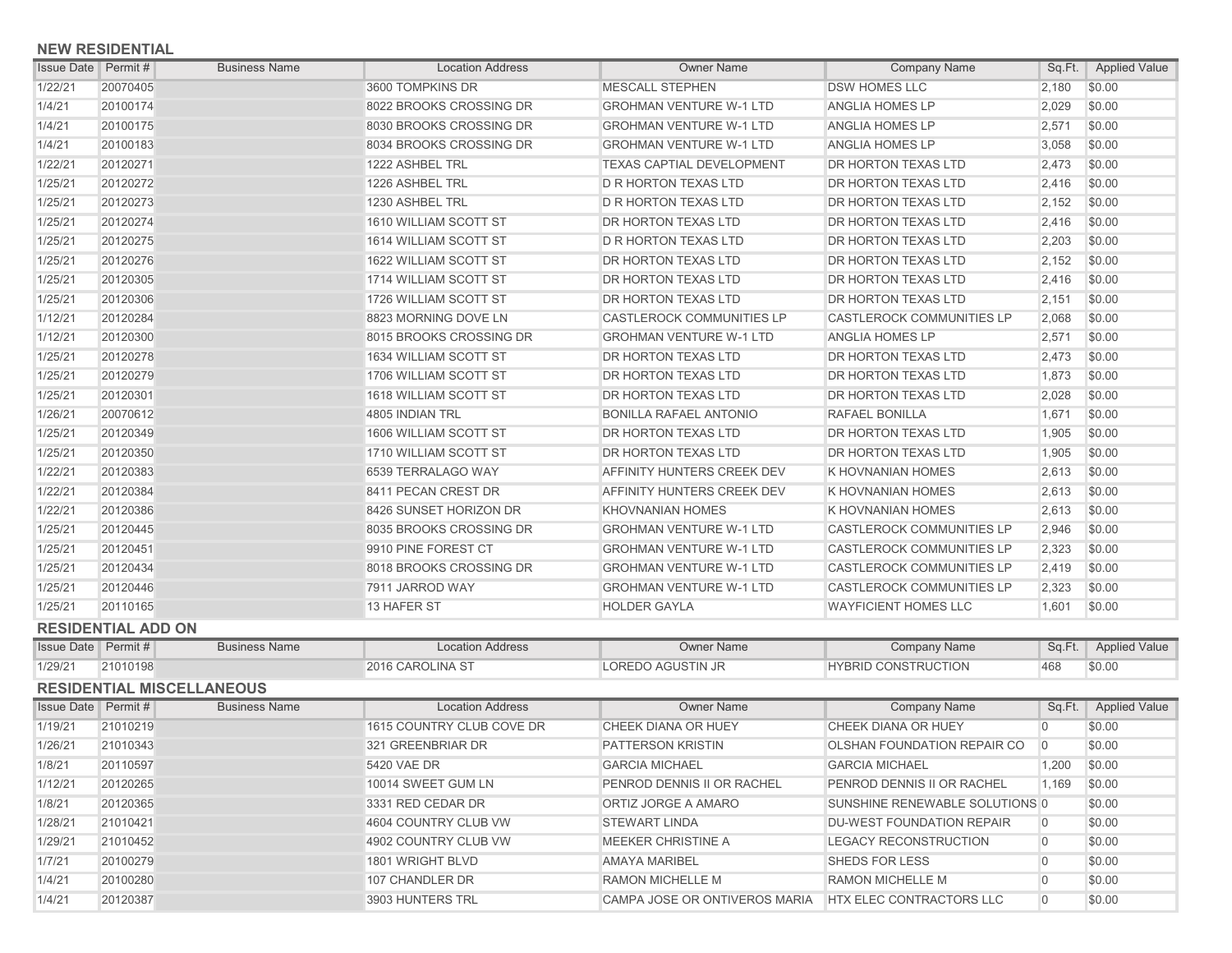## **NEW RESIDENTIAL**

| <b>Issue Date Permit #</b> |          | <b>Business Name</b> | <b>Location Address</b> | <b>Owner Name</b>                | <b>Company Name</b>              | Sq.Ft. | <b>Applied Value</b> |
|----------------------------|----------|----------------------|-------------------------|----------------------------------|----------------------------------|--------|----------------------|
| 1/22/21                    | 20070405 |                      | 3600 TOMPKINS DR        | <b>MESCALL STEPHEN</b>           | <b>DSW HOMES LLC</b>             | 2,180  | \$0.00               |
| 1/4/21                     | 20100174 |                      | 8022 BROOKS CROSSING DR | <b>GROHMAN VENTURE W-1 LTD</b>   | ANGLIA HOMES LP                  | 2,029  | \$0.00               |
| 1/4/21                     | 20100175 |                      | 8030 BROOKS CROSSING DR | <b>GROHMAN VENTURE W-1 LTD</b>   | <b>ANGLIA HOMES LP</b>           | 2,571  | \$0.00               |
| 1/4/21                     | 20100183 |                      | 8034 BROOKS CROSSING DR | <b>GROHMAN VENTURE W-1 LTD</b>   | <b>ANGLIA HOMES LP</b>           | 3,058  | \$0.00               |
| 1/22/21                    | 20120271 |                      | 1222 ASHBEL TRL         | <b>TEXAS CAPTIAL DEVELOPMENT</b> | <b>DR HORTON TEXAS LTD</b>       | 2,473  | \$0.00               |
| 1/25/21                    | 20120272 |                      | 1226 ASHBEL TRL         | <b>D R HORTON TEXAS LTD</b>      | <b>DR HORTON TEXAS LTD</b>       | 2,416  | \$0.00               |
| 1/25/21                    | 20120273 |                      | 1230 ASHBEL TRL         | <b>D R HORTON TEXAS LTD</b>      | DR HORTON TEXAS LTD              | 2,152  | \$0.00               |
| 1/25/21                    | 20120274 |                      | 1610 WILLIAM SCOTT ST   | DR HORTON TEXAS LTD              | <b>DR HORTON TEXAS LTD</b>       | 2,416  | \$0.00               |
| 1/25/21                    | 20120275 |                      | 1614 WILLIAM SCOTT ST   | <b>D R HORTON TEXAS LTD</b>      | DR HORTON TEXAS LTD              | 2,203  | \$0.00               |
| 1/25/21                    | 20120276 |                      | 1622 WILLIAM SCOTT ST   | <b>DR HORTON TEXAS LTD</b>       | DR HORTON TEXAS LTD              | 2,152  | \$0.00               |
| 1/25/21                    | 20120305 |                      | 1714 WILLIAM SCOTT ST   | DR HORTON TEXAS LTD              | DR HORTON TEXAS LTD              | 2,416  | \$0.00               |
| 1/25/21                    | 20120306 |                      | 1726 WILLIAM SCOTT ST   | DR HORTON TEXAS LTD              | DR HORTON TEXAS LTD              | 2,151  | \$0.00               |
| 1/12/21                    | 20120284 |                      | 8823 MORNING DOVE LN    | <b>CASTLEROCK COMMUNITIES LP</b> | <b>CASTLEROCK COMMUNITIES LP</b> | 2.068  | \$0.00               |
| 1/12/21                    | 20120300 |                      | 8015 BROOKS CROSSING DR | <b>GROHMAN VENTURE W-1 LTD</b>   | <b>ANGLIA HOMES LP</b>           | 2,571  | \$0.00               |
| 1/25/21                    | 20120278 |                      | 1634 WILLIAM SCOTT ST   | DR HORTON TEXAS LTD              | DR HORTON TEXAS LTD              | 2,473  | \$0.00               |
| 1/25/21                    | 20120279 |                      | 1706 WILLIAM SCOTT ST   | <b>DR HORTON TEXAS LTD</b>       | DR HORTON TEXAS LTD              | 1,873  | \$0.00               |
| 1/25/21                    | 20120301 |                      | 1618 WILLIAM SCOTT ST   | <b>DR HORTON TEXAS LTD</b>       | DR HORTON TEXAS LTD              | 2,028  | \$0.00               |
| 1/26/21                    | 20070612 |                      | 4805 INDIAN TRL         | <b>BONILLA RAFAEL ANTONIO</b>    | <b>RAFAEL BONILLA</b>            | 1,671  | \$0.00               |
| 1/25/21                    | 20120349 |                      | 1606 WILLIAM SCOTT ST   | DR HORTON TEXAS LTD              | DR HORTON TEXAS LTD              | 1,905  | \$0.00               |
| 1/25/21                    | 20120350 |                      | 1710 WILLIAM SCOTT ST   | DR HORTON TEXAS LTD              | DR HORTON TEXAS LTD              | 1,905  | \$0.00               |
| 1/22/21                    | 20120383 |                      | 6539 TERRALAGO WAY      | AFFINITY HUNTERS CREEK DEV       | <b>K HOVNANIAN HOMES</b>         | 2,613  | \$0.00               |
| 1/22/21                    | 20120384 |                      | 8411 PECAN CREST DR     | AFFINITY HUNTERS CREEK DEV       | <b>K HOVNANIAN HOMES</b>         | 2,613  | \$0.00               |
| 1/22/21                    | 20120386 |                      | 8426 SUNSET HORIZON DR  | <b>KHOVNANIAN HOMES</b>          | <b>K HOVNANIAN HOMES</b>         | 2,613  | \$0.00               |
| 1/25/21                    | 20120445 |                      | 8035 BROOKS CROSSING DR | <b>GROHMAN VENTURE W-1 LTD</b>   | <b>CASTLEROCK COMMUNITIES LP</b> | 2,946  | \$0.00               |
| 1/25/21                    | 20120451 |                      | 9910 PINE FOREST CT     | <b>GROHMAN VENTURE W-1 LTD</b>   | <b>CASTLEROCK COMMUNITIES LP</b> | 2,323  | \$0.00               |
| 1/25/21                    | 20120434 |                      | 8018 BROOKS CROSSING DR | <b>GROHMAN VENTURE W-1 LTD</b>   | <b>CASTLEROCK COMMUNITIES LP</b> | 2,419  | \$0.00               |
| 1/25/21                    | 20120446 |                      | 7911 JARROD WAY         | <b>GROHMAN VENTURE W-1 LTD</b>   | <b>CASTLEROCK COMMUNITIES LP</b> | 2,323  | \$0.00               |
| 1/25/21                    | 20110165 |                      | 13 HAFER ST             | <b>HOLDER GAYLA</b>              | <b>WAYFICIENT HOMES LLC</b>      | 1.601  | \$0.00               |

## **RESIDENTIAL ADD ON**

| <b>Issue Date</b>                | Permit # | <b>Business Name</b> | <b>Location Address</b>   | <b>Owner Name</b>             | <b>Company Name</b>            | Sq.Ft.   | <b>Applied Value</b>   |
|----------------------------------|----------|----------------------|---------------------------|-------------------------------|--------------------------------|----------|------------------------|
| 1/29/21                          | 21010198 |                      | 2016 CAROLINA ST          | LOREDO AGUSTIN JR             | <b>HYBRID CONSTRUCTION</b>     | 468      | \$0.00                 |
| <b>RESIDENTIAL MISCELLANEOUS</b> |          |                      |                           |                               |                                |          |                        |
| <b>Issue Date</b>                | Permit # | <b>Business Name</b> | <b>Location Address</b>   | <b>Owner Name</b>             | <b>Company Name</b>            |          | Sq.Ft.   Applied Value |
| 1/19/21                          | 21010219 |                      | 1615 COUNTRY CLUB COVE DR | <b>CHEEK DIANA OR HUEY</b>    | <b>CHEEK DIANA OR HUEY</b>     |          | \$0.00                 |
| 1/26/21                          | 21010343 |                      | 321 GREENBRIAR DR         | <b>PATTERSON KRISTIN</b>      | OLSHAN FOUNDATION REPAIR CO    | $\Omega$ | \$0.00                 |
| 1/8/21                           | 20110597 |                      | 5420 VAE DR               | <b>GARCIA MICHAEL</b>         | <b>GARCIA MICHAEL</b>          | 1,200    | \$0.00                 |
| 1/12/21                          | 20120265 |                      | 10014 SWEET GUM LN        | PENROD DENNIS II OR RACHEL    | PENROD DENNIS II OR RACHEL     | 1.169    | \$0.00                 |
| 1/8/21                           | 20120365 |                      | 3331 RED CEDAR DR         | ORTIZ JORGE A AMARO           | SUNSHINE RENEWABLE SOLUTIONS 0 |          | \$0.00                 |
| 1/28/21                          | 21010421 |                      | 4604 COUNTRY CLUB VW      | <b>STEWART LINDA</b>          | DU-WEST FOUNDATION REPAIR      | $\Omega$ | \$0.00                 |
| 1/29/21                          | 21010452 |                      | 4902 COUNTRY CLUB VW      | MEEKER CHRISTINE A            | LEGACY RECONSTRUCTION          | $\Omega$ | \$0.00                 |
| 1/7/21                           | 20100279 |                      | 1801 WRIGHT BLVD          | <b>AMAYA MARIBEL</b>          | <b>SHEDS FOR LESS</b>          |          | \$0.00                 |
| 1/4/21                           | 20100280 |                      | 107 CHANDLER DR           | <b>RAMON MICHELLE M</b>       | <b>RAMON MICHELLE M</b>        |          | \$0.00                 |
| 1/4/21                           | 20120387 |                      | 3903 HUNTERS TRL          | CAMPA JOSE OR ONTIVEROS MARIA | HTX ELEC CONTRACTORS LLC       | $\Omega$ | \$0.00                 |